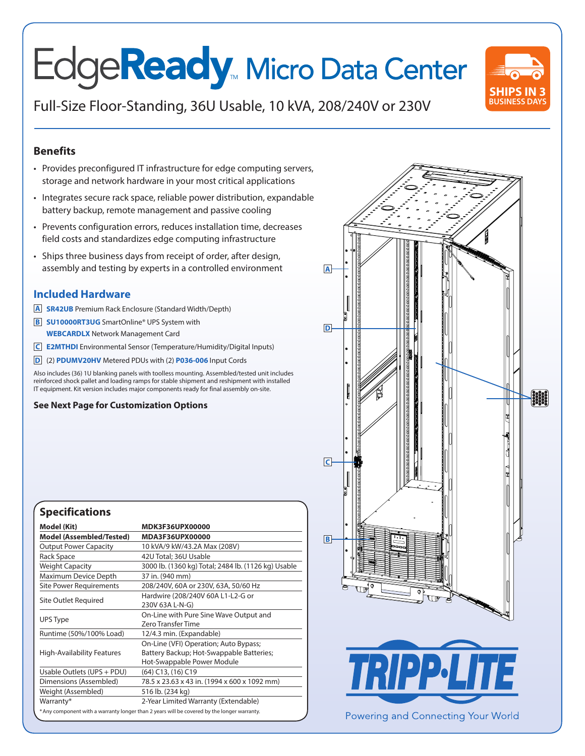# Edge**Ready** Micro Data Center

**BUSINESS DAYS** Full-Size Floor-Standing, 36U Usable, 10 kVA, 208/240V or 230V



#### **Benefits**

- Provides preconfigured IT infrastructure for edge computing servers, storage and network hardware in your most critical applications
- Integrates secure rack space, reliable power distribution, expandable battery backup, remote management and passive cooling
- Prevents configuration errors, reduces installation time, decreases field costs and standardizes edge computing infrastructure
- Ships three business days from receipt of order, after design, assembly and testing by experts in a controlled environment

#### **Included Hardware**

- **A SR42UB** Premium Rack Enclosure (Standard Width/Depth)
- **B SU10000RT3UG** SmartOnline® UPS System with **WEBCARDLX** Network Management Card
- **C E2MTHDI** Environmental Sensor (Temperature/Humidity/Digital Inputs)
- **D** (2) **PDUMV20HV** Metered PDUs with (2) **P036-006** Input Cords

Also includes (36) 1U blanking panels with toolless mounting. Assembled/tested unit includes reinforced shock pallet and loading ramps for stable shipment and reshipment with installed IT equipment. Kit version includes major components ready for final assembly on-site.

**See Next Page for Customization Options**

| Model (Kit)                       | <b>MDK3F36UPX00000</b>                                                                                          |
|-----------------------------------|-----------------------------------------------------------------------------------------------------------------|
| <b>Model (Assembled/Tested)</b>   | MDA3F36UPX00000                                                                                                 |
| <b>Output Power Capacity</b>      | 10 kVA/9 kW/43.2A Max (208V)                                                                                    |
| Rack Space                        | 42U Total; 36U Usable                                                                                           |
| <b>Weight Capacity</b>            | 3000 lb. (1360 kg) Total; 2484 lb. (1126 kg) Usable                                                             |
| Maximum Device Depth              | 37 in. (940 mm)                                                                                                 |
| Site Power Requirements           | 208/240V, 60A or 230V, 63A, 50/60 Hz                                                                            |
| Site Outlet Required              | Hardwire (208/240V 60A L1-L2-G or<br>230V 63A L-N-G)                                                            |
| UPS Type                          | On-Line with Pure Sine Wave Output and<br>Zero Transfer Time                                                    |
| Runtime (50%/100% Load)           | 12/4.3 min. (Expandable)                                                                                        |
| <b>High-Availability Features</b> | On-Line (VFI) Operation; Auto Bypass;<br>Battery Backup; Hot-Swappable Batteries;<br>Hot-Swappable Power Module |
| Usable Outlets (UPS + PDU)        | (64) C13, (16) C19                                                                                              |
| Dimensions (Assembled)            | 78.5 x 23.63 x 43 in. (1994 x 600 x 1092 mm)                                                                    |
| Weight (Assembled)                | 516 lb. (234 kg)                                                                                                |
| Warranty*                         | 2-Year Limited Warranty (Extendable)                                                                            |
|                                   | * Any component with a warranty longer than 2 years will be covered by the longer warranty.                     |





Powering and Connecting Your World

### **Specifications**